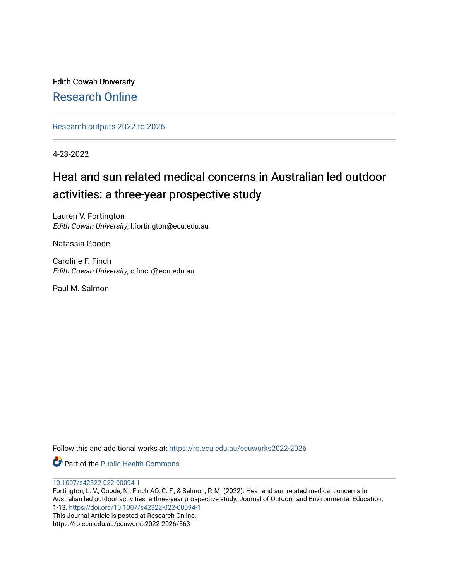Edith Cowan University [Research Online](https://ro.ecu.edu.au/) 

[Research outputs 2022 to 2026](https://ro.ecu.edu.au/ecuworks2022-2026) 

4-23-2022

# Heat and sun related medical concerns in Australian led outdoor activities: a three-year prospective study

Lauren V. Fortington Edith Cowan University, l.fortington@ecu.edu.au

Natassia Goode

Caroline F. Finch Edith Cowan University, c.finch@ecu.edu.au

Paul M. Salmon

Follow this and additional works at: [https://ro.ecu.edu.au/ecuworks2022-2026](https://ro.ecu.edu.au/ecuworks2022-2026?utm_source=ro.ecu.edu.au%2Fecuworks2022-2026%2F563&utm_medium=PDF&utm_campaign=PDFCoverPages)

Part of the [Public Health Commons](https://network.bepress.com/hgg/discipline/738?utm_source=ro.ecu.edu.au%2Fecuworks2022-2026%2F563&utm_medium=PDF&utm_campaign=PDFCoverPages) 

[10.1007/s42322-022-00094-1](http://dx.doi.org/10.1007/s42322-022-00094-1)

Fortington, L. V., Goode, N., Finch AO, C. F., & Salmon, P. M. (2022). Heat and sun related medical concerns in Australian led outdoor activities: a three-year prospective study. Journal of Outdoor and Environmental Education, 1-13.<https://doi.org/10.1007/s42322-022-00094-1> This Journal Article is posted at Research Online. https://ro.ecu.edu.au/ecuworks2022-2026/563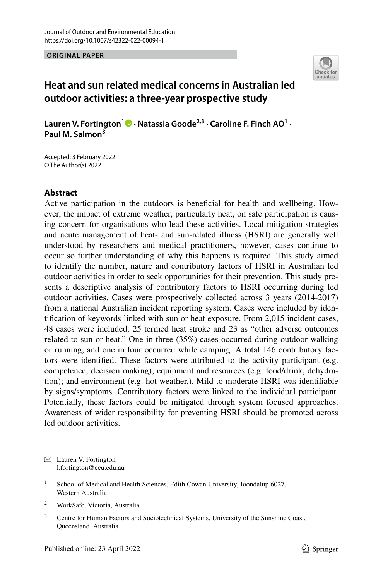**ORIGINAL PAPER**



# **Heat and sun related medical concerns in Australian led outdoor activities: a three-year prospective study**

Lauren V. Fortington<sup>1</sup> • Natassia Goode<sup>2,3</sup> [·](http://orcid.org/0000-0003-2760-9249) Caroline F. Finch AO<sup>1</sup> · **Paul M. Salmon<sup>3</sup>**

Accepted: 3 February 2022 © The Author(s) 2022

## **Abstract**

Active participation in the outdoors is benefcial for health and wellbeing. However, the impact of extreme weather, particularly heat, on safe participation is causing concern for organisations who lead these activities. Local mitigation strategies and acute management of heat- and sun-related illness (HSRI) are generally well understood by researchers and medical practitioners, however, cases continue to occur so further understanding of why this happens is required. This study aimed to identify the number, nature and contributory factors of HSRI in Australian led outdoor activities in order to seek opportunities for their prevention. This study presents a descriptive analysis of contributory factors to HSRI occurring during led outdoor activities. Cases were prospectively collected across 3 years (2014-2017) from a national Australian incident reporting system. Cases were included by identifcation of keywords linked with sun or heat exposure. From 2,015 incident cases, 48 cases were included: 25 termed heat stroke and 23 as "other adverse outcomes related to sun or heat." One in three (35%) cases occurred during outdoor walking or running, and one in four occurred while camping. A total 146 contributory factors were identifed. These factors were attributed to the activity participant (e.g. competence, decision making); equipment and resources (e.g. food/drink, dehydration); and environment (e.g. hot weather.). Mild to moderate HSRI was identifable by signs/symptoms. Contributory factors were linked to the individual participant. Potentially, these factors could be mitigated through system focused approaches. Awareness of wider responsibility for preventing HSRI should be promoted across led outdoor activities.

 $\boxtimes$  Lauren V. Fortington l.fortington@ecu.edu.au

<sup>2</sup> WorkSafe, Victoria, Australia

<sup>&</sup>lt;sup>1</sup> School of Medical and Health Sciences, Edith Cowan University, Joondalup 6027, Western Australia

<sup>&</sup>lt;sup>3</sup> Centre for Human Factors and Sociotechnical Systems, University of the Sunshine Coast, Queensland, Australia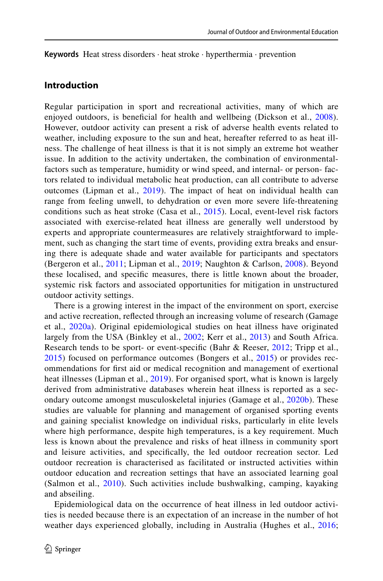**Keywords** Heat stress disorders · heat stroke · hyperthermia · prevention

## **Introduction**

Regular participation in sport and recreational activities, many of which are enjoyed outdoors, is beneficial for health and wellbeing (Dickson et al., [2008](#page-13-0)). However, outdoor activity can present a risk of adverse health events related to weather, including exposure to the sun and heat, hereafter referred to as heat illness. The challenge of heat illness is that it is not simply an extreme hot weather issue. In addition to the activity undertaken, the combination of environmentalfactors such as temperature, humidity or wind speed, and internal- or person- factors related to individual metabolic heat production, can all contribute to adverse outcomes (Lipman et al., [2019\)](#page-13-1). The impact of heat on individual health can range from feeling unwell, to dehydration or even more severe life-threatening conditions such as heat stroke (Casa et al., [2015](#page-12-0)). Local, event-level risk factors associated with exercise-related heat illness are generally well understood by experts and appropriate countermeasures are relatively straightforward to implement, such as changing the start time of events, providing extra breaks and ensuring there is adequate shade and water available for participants and spectators (Bergeron et al., [2011](#page-12-1); Lipman et al., [2019;](#page-13-1) Naughton & Carlson, [2008\)](#page-13-2). Beyond these localised, and specifc measures, there is little known about the broader, systemic risk factors and associated opportunities for mitigation in unstructured outdoor activity settings.

There is a growing interest in the impact of the environment on sport, exercise and active recreation, refected through an increasing volume of research (Gamage et al., [2020a\)](#page-13-3). Original epidemiological studies on heat illness have originated largely from the USA (Binkley et al., [2002](#page-12-2); Kerr et al., [2013](#page-13-4)) and South Africa. Research tends to be sport- or event-specific (Bahr & Reeser, [2012;](#page-12-3) Tripp et al., [2015\)](#page-13-5) focused on performance outcomes (Bongers et al., [2015\)](#page-12-4) or provides recommendations for frst aid or medical recognition and management of exertional heat illnesses (Lipman et al., [2019](#page-13-1)). For organised sport, what is known is largely derived from administrative databases wherein heat illness is reported as a secondary outcome amongst musculoskeletal injuries (Gamage et al., [2020b\)](#page-13-6). These studies are valuable for planning and management of organised sporting events and gaining specialist knowledge on individual risks, particularly in elite levels where high performance, despite high temperatures, is a key requirement. Much less is known about the prevalence and risks of heat illness in community sport and leisure activities, and specifcally, the led outdoor recreation sector. Led outdoor recreation is characterised as facilitated or instructed activities within outdoor education and recreation settings that have an associated learning goal (Salmon et al., [2010\)](#page-13-7). Such activities include bushwalking, camping, kayaking and abseiling.

Epidemiological data on the occurrence of heat illness in led outdoor activities is needed because there is an expectation of an increase in the number of hot weather days experienced globally, including in Australia (Hughes et al., [2016;](#page-13-8)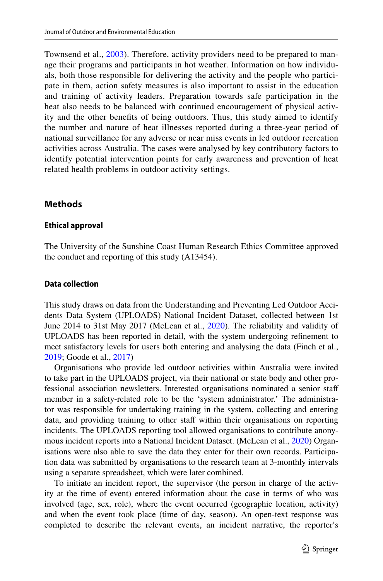Townsend et al., [2003](#page-13-9)). Therefore, activity providers need to be prepared to manage their programs and participants in hot weather. Information on how individuals, both those responsible for delivering the activity and the people who participate in them, action safety measures is also important to assist in the education and training of activity leaders. Preparation towards safe participation in the heat also needs to be balanced with continued encouragement of physical activity and the other benefts of being outdoors. Thus, this study aimed to identify the number and nature of heat illnesses reported during a three-year period of national surveillance for any adverse or near miss events in led outdoor recreation activities across Australia. The cases were analysed by key contributory factors to identify potential intervention points for early awareness and prevention of heat related health problems in outdoor activity settings.

## **Methods**

#### **Ethical approval**

The University of the Sunshine Coast Human Research Ethics Committee approved the conduct and reporting of this study (A13454).

### **Data collection**

This study draws on data from the Understanding and Preventing Led Outdoor Accidents Data System (UPLOADS) National Incident Dataset, collected between 1st June 2014 to 31st May 2017 (McLean et al., [2020](#page-13-10)). The reliability and validity of UPLOADS has been reported in detail, with the system undergoing refnement to meet satisfactory levels for users both entering and analysing the data (Finch et al., [2019](#page-13-11); Goode et al., [2017\)](#page-13-12)

Organisations who provide led outdoor activities within Australia were invited to take part in the UPLOADS project, via their national or state body and other professional association newsletters. Interested organisations nominated a senior staf member in a safety-related role to be the 'system administrator.' The administrator was responsible for undertaking training in the system, collecting and entering data, and providing training to other staff within their organisations on reporting incidents. The UPLOADS reporting tool allowed organisations to contribute anonymous incident reports into a National Incident Dataset. (McLean et al., [2020\)](#page-13-10) Organisations were also able to save the data they enter for their own records. Participation data was submitted by organisations to the research team at 3-monthly intervals using a separate spreadsheet, which were later combined.

To initiate an incident report, the supervisor (the person in charge of the activity at the time of event) entered information about the case in terms of who was involved (age, sex, role), where the event occurred (geographic location, activity) and when the event took place (time of day, season). An open-text response was completed to describe the relevant events, an incident narrative, the reporter's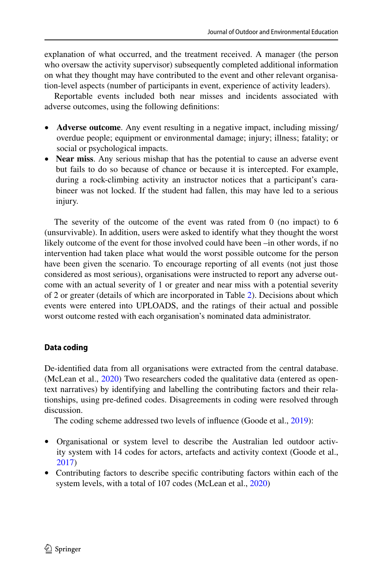explanation of what occurred, and the treatment received. A manager (the person who oversaw the activity supervisor) subsequently completed additional information on what they thought may have contributed to the event and other relevant organisation-level aspects (number of participants in event, experience of activity leaders).

Reportable events included both near misses and incidents associated with adverse outcomes, using the following defnitions:

- **Adverse outcome**. Any event resulting in a negative impact, including missing/ overdue people; equipment or environmental damage; injury; illness; fatality; or social or psychological impacts.
- **Near miss**. Any serious mishap that has the potential to cause an adverse event but fails to do so because of chance or because it is intercepted. For example, during a rock-climbing activity an instructor notices that a participant's carabineer was not locked. If the student had fallen, this may have led to a serious injury.

The severity of the outcome of the event was rated from 0 (no impact) to 6 (unsurvivable). In addition, users were asked to identify what they thought the worst likely outcome of the event for those involved could have been –in other words, if no intervention had taken place what would the worst possible outcome for the person have been given the scenario. To encourage reporting of all events (not just those considered as most serious), organisations were instructed to report any adverse outcome with an actual severity of 1 or greater and near miss with a potential severity of 2 or greater (details of which are incorporated in Table [2\)](#page-7-0). Decisions about which events were entered into UPLOADS, and the ratings of their actual and possible worst outcome rested with each organisation's nominated data administrator.

## **Data coding**

De-identifed data from all organisations were extracted from the central database. (McLean et al., [2020](#page-13-10)) Two researchers coded the qualitative data (entered as opentext narratives) by identifying and labelling the contributing factors and their relationships, using pre-defned codes. Disagreements in coding were resolved through discussion.

The coding scheme addressed two levels of influence (Goode et al., [2019\)](#page-13-13):

- Organisational or system level to describe the Australian led outdoor activity system with 14 codes for actors, artefacts and activity context (Goode et al., [2017](#page-13-12))
- Contributing factors to describe specifc contributing factors within each of the system levels, with a total of 107 codes (McLean et al., [2020\)](#page-13-10)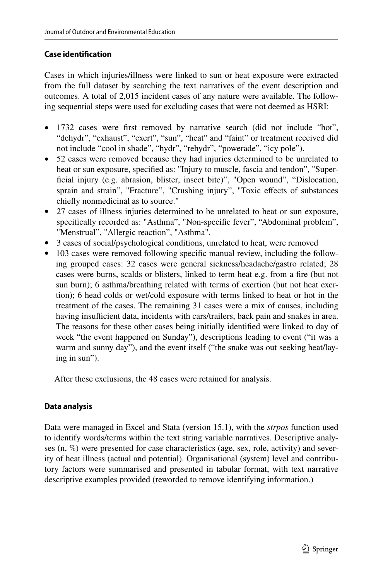## **Case identifcation**

Cases in which injuries/illness were linked to sun or heat exposure were extracted from the full dataset by searching the text narratives of the event description and outcomes. A total of 2,015 incident cases of any nature were available. The following sequential steps were used for excluding cases that were not deemed as HSRI:

- 1732 cases were first removed by narrative search (did not include "hot", "dehydr", "exhaust", "exert", "sun", "heat" and "faint" or treatment received did not include "cool in shade", "hydr", "rehydr", "powerade", "icy pole").
- 52 cases were removed because they had injuries determined to be unrelated to heat or sun exposure, specifed as: "Injury to muscle, fascia and tendon", "Superficial injury (e.g. abrasion, blister, insect bite)", "Open wound", "Dislocation, sprain and strain", "Fracture", "Crushing injury", "Toxic efects of substances chiefy nonmedicinal as to source."
- 27 cases of illness injuries determined to be unrelated to heat or sun exposure, specifcally recorded as: "Asthma", "Non-specifc fever", "Abdominal problem", "Menstrual", "Allergic reaction", "Asthma".
- 3 cases of social/psychological conditions, unrelated to heat, were removed
- 103 cases were removed following specific manual review, including the following grouped cases: 32 cases were general sickness/headache/gastro related; 28 cases were burns, scalds or blisters, linked to term heat e.g. from a fre (but not sun burn); 6 asthma/breathing related with terms of exertion (but not heat exertion); 6 head colds or wet/cold exposure with terms linked to heat or hot in the treatment of the cases. The remaining 31 cases were a mix of causes, including having insufficient data, incidents with cars/trailers, back pain and snakes in area. The reasons for these other cases being initially identifed were linked to day of week "the event happened on Sunday"), descriptions leading to event ("it was a warm and sunny day"), and the event itself ("the snake was out seeking heat/laying in sun").

After these exclusions, the 48 cases were retained for analysis.

## **Data analysis**

Data were managed in Excel and Stata (version 15.1), with the *strpos* function used to identify words/terms within the text string variable narratives. Descriptive analyses (n, %) were presented for case characteristics (age, sex, role, activity) and severity of heat illness (actual and potential). Organisational (system) level and contributory factors were summarised and presented in tabular format, with text narrative descriptive examples provided (reworded to remove identifying information.)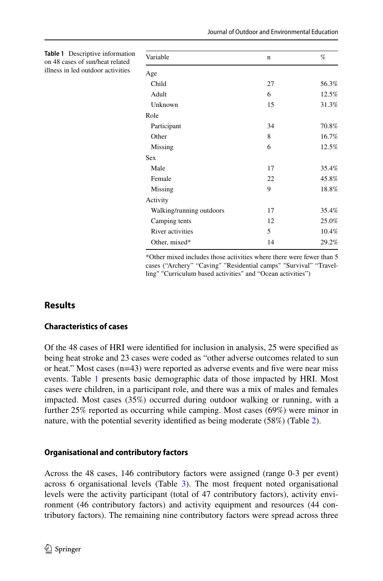| Variable                 | n  | %     |
|--------------------------|----|-------|
| Age                      |    |       |
| Child                    | 27 | 56.3% |
| Adult                    | 6  | 12.5% |
| Unknown                  | 15 | 31.3% |
| Role                     |    |       |
| Participant              | 34 | 70.8% |
| Other                    | 8  | 16.7% |
| Missing                  | 6  | 12.5% |
| <b>Sex</b>               |    |       |
| Male                     | 17 | 35.4% |
| Female                   | 22 | 45.8% |
| Missing                  | 9  | 18.8% |
| Activity                 |    |       |
| Walking/running outdoors | 17 | 35.4% |
| Camping tents            | 12 | 25.0% |
| River activities         | 5  | 10.4% |
| Other, mixed*            | 14 | 29.2% |

\*Other mixed includes those activities where there were fewer than 5 cases ("Archery" "Caving" "Residential camps" "Survival" "Travelling" "Curriculum based activities" and "Ocean activities")

# **Results**

## **Characteristics of cases**

<span id="page-6-0"></span>**Table 1** Descriptive information on 48 cases of sun/heat related illness in led outdoor activities

Of the 48 cases of HRI were identifed for inclusion in analysis, 25 were specifed as being heat stroke and 23 cases were coded as "other adverse outcomes related to sun or heat." Most cases  $(n=43)$  were reported as adverse events and five were near miss events. Table [1](#page-6-0) presents basic demographic data of those impacted by HRI. Most cases were children, in a participant role, and there was a mix of males and females impacted. Most cases (35%) occurred during outdoor walking or running, with a further 25% reported as occurring while camping. Most cases (69%) were minor in nature, with the potential severity identifed as being moderate (58%) (Table [2\)](#page-7-0).

## **Organisational and contributory factors**

Across the 48 cases, 146 contributory factors were assigned (range 0-3 per event) across 6 organisational levels (Table [3](#page-8-0)). The most frequent noted organisational levels were the activity participant (total of 47 contributory factors), activity environment (46 contributory factors) and activity equipment and resources (44 contributory factors). The remaining nine contributory factors were spread across three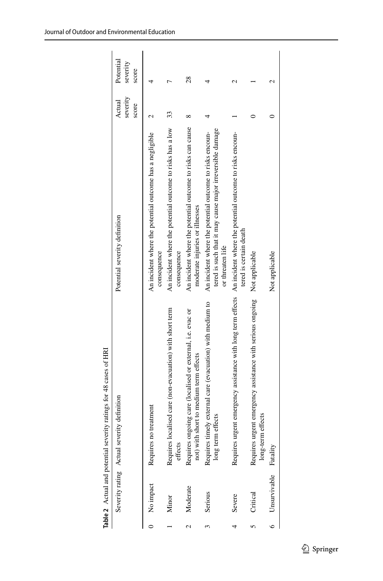|         |                       | Table 2 Actual and potential severity ratings for 48 cases of HRI                                                    |                                                                                                                                           |                             |                                |
|---------|-----------------------|----------------------------------------------------------------------------------------------------------------------|-------------------------------------------------------------------------------------------------------------------------------------------|-----------------------------|--------------------------------|
|         |                       | Severity rating Actual severity definition                                                                           | Potential severity definition                                                                                                             | severity<br>Actual<br>score | Potential<br>severity<br>score |
|         | 0 No impact           | Requires no treatment                                                                                                | An incident where the potential outcome has a negligible<br>consequence                                                                   |                             |                                |
|         | Minor                 | Requires localised care (non-evacuation) with short term<br>effects                                                  | An incident where the potential outcome to risks has a low<br>consequence                                                                 | 33                          |                                |
|         | Moderate              | Requires ongoing care (localised or external, i.e. evac or<br>not) with short to medium term effects                 | An incident where the potential outcome to risks can cause<br>moderate injuries or illnesses                                              |                             | 28                             |
|         | Serious               | Requires timely external care (evacuation) with medium to<br>long term effects                                       | tered is such that it may cause major irreversible damage<br>An incident where the potential outcome to risks encoun-<br>or threaten life |                             |                                |
|         | Severe                | Requires urgent emergency assistance with long term effects An incident where the potential outcome to risks encoun- | tered is certain death                                                                                                                    |                             | N                              |
|         | Critical              | Requires urgent emergency assistance with serious ongoing Not applicable<br>m effects<br>long-ter                    |                                                                                                                                           |                             |                                |
| $\circ$ | Unsurvivable Fatality |                                                                                                                      | Not applicable                                                                                                                            |                             | N                              |

<span id="page-7-0"></span>Table 2 Actual and potential severity ratings for 48 cases of HRI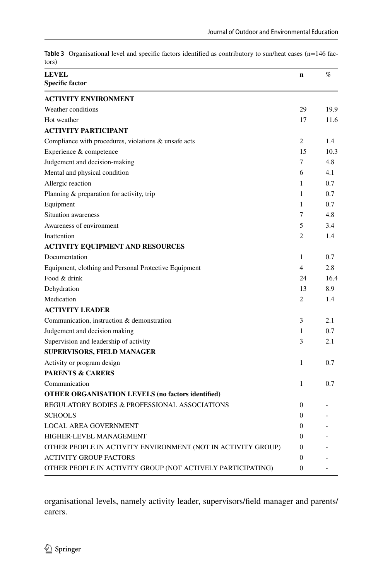| <b>LEVEL</b><br>%<br>n<br><b>Specific factor</b><br><b>ACTIVITY ENVIRONMENT</b><br>Weather conditions<br>29<br>19.9<br>Hot weather<br>17<br>11.6<br><b>ACTIVITY PARTICIPANT</b><br>$\overline{c}$<br>Compliance with procedures, violations & unsafe acts<br>1.4<br>15<br>Experience & competence<br>10.3<br>7<br>Judgement and decision-making<br>4.8<br>Mental and physical condition<br>6<br>4.1<br>$\mathbf{1}$<br>0.7<br>Allergic reaction<br>Planning & preparation for activity, trip<br>1<br>0.7<br>Equipment<br>$\mathbf{1}$<br>0.7<br>Situation awareness<br>4.8<br>7<br>Awareness of environment<br>5<br>3.4<br>$\overline{c}$<br>Inattention<br>1.4<br><b>ACTIVITY EQUIPMENT AND RESOURCES</b><br>Documentation<br>1<br>0.7<br>$\overline{4}$<br>2.8<br>Equipment, clothing and Personal Protective Equipment<br>Food & drink<br>24<br>16.4<br>Dehydration<br>13<br>8.9<br>Medication<br>$\overline{c}$<br>1.4<br><b>ACTIVITY LEADER</b><br>Communication, instruction & demonstration<br>2.1<br>3<br>Judgement and decision making<br>0.7<br>$\mathbf{1}$<br>Supervision and leadership of activity<br>3<br>2.1 |
|------------------------------------------------------------------------------------------------------------------------------------------------------------------------------------------------------------------------------------------------------------------------------------------------------------------------------------------------------------------------------------------------------------------------------------------------------------------------------------------------------------------------------------------------------------------------------------------------------------------------------------------------------------------------------------------------------------------------------------------------------------------------------------------------------------------------------------------------------------------------------------------------------------------------------------------------------------------------------------------------------------------------------------------------------------------------------------------------------------------------------|
|                                                                                                                                                                                                                                                                                                                                                                                                                                                                                                                                                                                                                                                                                                                                                                                                                                                                                                                                                                                                                                                                                                                              |
|                                                                                                                                                                                                                                                                                                                                                                                                                                                                                                                                                                                                                                                                                                                                                                                                                                                                                                                                                                                                                                                                                                                              |
|                                                                                                                                                                                                                                                                                                                                                                                                                                                                                                                                                                                                                                                                                                                                                                                                                                                                                                                                                                                                                                                                                                                              |
|                                                                                                                                                                                                                                                                                                                                                                                                                                                                                                                                                                                                                                                                                                                                                                                                                                                                                                                                                                                                                                                                                                                              |
|                                                                                                                                                                                                                                                                                                                                                                                                                                                                                                                                                                                                                                                                                                                                                                                                                                                                                                                                                                                                                                                                                                                              |
|                                                                                                                                                                                                                                                                                                                                                                                                                                                                                                                                                                                                                                                                                                                                                                                                                                                                                                                                                                                                                                                                                                                              |
|                                                                                                                                                                                                                                                                                                                                                                                                                                                                                                                                                                                                                                                                                                                                                                                                                                                                                                                                                                                                                                                                                                                              |
|                                                                                                                                                                                                                                                                                                                                                                                                                                                                                                                                                                                                                                                                                                                                                                                                                                                                                                                                                                                                                                                                                                                              |
|                                                                                                                                                                                                                                                                                                                                                                                                                                                                                                                                                                                                                                                                                                                                                                                                                                                                                                                                                                                                                                                                                                                              |
|                                                                                                                                                                                                                                                                                                                                                                                                                                                                                                                                                                                                                                                                                                                                                                                                                                                                                                                                                                                                                                                                                                                              |
|                                                                                                                                                                                                                                                                                                                                                                                                                                                                                                                                                                                                                                                                                                                                                                                                                                                                                                                                                                                                                                                                                                                              |
|                                                                                                                                                                                                                                                                                                                                                                                                                                                                                                                                                                                                                                                                                                                                                                                                                                                                                                                                                                                                                                                                                                                              |
|                                                                                                                                                                                                                                                                                                                                                                                                                                                                                                                                                                                                                                                                                                                                                                                                                                                                                                                                                                                                                                                                                                                              |
|                                                                                                                                                                                                                                                                                                                                                                                                                                                                                                                                                                                                                                                                                                                                                                                                                                                                                                                                                                                                                                                                                                                              |
|                                                                                                                                                                                                                                                                                                                                                                                                                                                                                                                                                                                                                                                                                                                                                                                                                                                                                                                                                                                                                                                                                                                              |
|                                                                                                                                                                                                                                                                                                                                                                                                                                                                                                                                                                                                                                                                                                                                                                                                                                                                                                                                                                                                                                                                                                                              |
|                                                                                                                                                                                                                                                                                                                                                                                                                                                                                                                                                                                                                                                                                                                                                                                                                                                                                                                                                                                                                                                                                                                              |
|                                                                                                                                                                                                                                                                                                                                                                                                                                                                                                                                                                                                                                                                                                                                                                                                                                                                                                                                                                                                                                                                                                                              |
|                                                                                                                                                                                                                                                                                                                                                                                                                                                                                                                                                                                                                                                                                                                                                                                                                                                                                                                                                                                                                                                                                                                              |
|                                                                                                                                                                                                                                                                                                                                                                                                                                                                                                                                                                                                                                                                                                                                                                                                                                                                                                                                                                                                                                                                                                                              |
|                                                                                                                                                                                                                                                                                                                                                                                                                                                                                                                                                                                                                                                                                                                                                                                                                                                                                                                                                                                                                                                                                                                              |
|                                                                                                                                                                                                                                                                                                                                                                                                                                                                                                                                                                                                                                                                                                                                                                                                                                                                                                                                                                                                                                                                                                                              |
|                                                                                                                                                                                                                                                                                                                                                                                                                                                                                                                                                                                                                                                                                                                                                                                                                                                                                                                                                                                                                                                                                                                              |
|                                                                                                                                                                                                                                                                                                                                                                                                                                                                                                                                                                                                                                                                                                                                                                                                                                                                                                                                                                                                                                                                                                                              |
|                                                                                                                                                                                                                                                                                                                                                                                                                                                                                                                                                                                                                                                                                                                                                                                                                                                                                                                                                                                                                                                                                                                              |
| <b>SUPERVISORS, FIELD MANAGER</b>                                                                                                                                                                                                                                                                                                                                                                                                                                                                                                                                                                                                                                                                                                                                                                                                                                                                                                                                                                                                                                                                                            |
| Activity or program design<br>$\mathbf{1}$<br>0.7                                                                                                                                                                                                                                                                                                                                                                                                                                                                                                                                                                                                                                                                                                                                                                                                                                                                                                                                                                                                                                                                            |
| <b>PARENTS &amp; CARERS</b>                                                                                                                                                                                                                                                                                                                                                                                                                                                                                                                                                                                                                                                                                                                                                                                                                                                                                                                                                                                                                                                                                                  |
| $\mathbf{1}$<br>0.7<br>Communication                                                                                                                                                                                                                                                                                                                                                                                                                                                                                                                                                                                                                                                                                                                                                                                                                                                                                                                                                                                                                                                                                         |
| <b>OTHER ORGANISATION LEVELS (no factors identified)</b>                                                                                                                                                                                                                                                                                                                                                                                                                                                                                                                                                                                                                                                                                                                                                                                                                                                                                                                                                                                                                                                                     |
| REGULATORY BODIES & PROFESSIONAL ASSOCIATIONS<br>$\theta$                                                                                                                                                                                                                                                                                                                                                                                                                                                                                                                                                                                                                                                                                                                                                                                                                                                                                                                                                                                                                                                                    |
| $\Omega$<br><b>SCHOOLS</b>                                                                                                                                                                                                                                                                                                                                                                                                                                                                                                                                                                                                                                                                                                                                                                                                                                                                                                                                                                                                                                                                                                   |
| LOCAL AREA GOVERNMENT<br>$\mathbf{0}$                                                                                                                                                                                                                                                                                                                                                                                                                                                                                                                                                                                                                                                                                                                                                                                                                                                                                                                                                                                                                                                                                        |
| $\Omega$<br>HIGHER-LEVEL MANAGEMENT                                                                                                                                                                                                                                                                                                                                                                                                                                                                                                                                                                                                                                                                                                                                                                                                                                                                                                                                                                                                                                                                                          |
| OTHER PEOPLE IN ACTIVITY ENVIRONMENT (NOT IN ACTIVITY GROUP)<br>$\mathbf{0}$                                                                                                                                                                                                                                                                                                                                                                                                                                                                                                                                                                                                                                                                                                                                                                                                                                                                                                                                                                                                                                                 |
| <b>ACTIVITY GROUP FACTORS</b><br>$\mathbf{0}$                                                                                                                                                                                                                                                                                                                                                                                                                                                                                                                                                                                                                                                                                                                                                                                                                                                                                                                                                                                                                                                                                |
| OTHER PEOPLE IN ACTIVITY GROUP (NOT ACTIVELY PARTICIPATING)<br>$\Omega$                                                                                                                                                                                                                                                                                                                                                                                                                                                                                                                                                                                                                                                                                                                                                                                                                                                                                                                                                                                                                                                      |

<span id="page-8-0"></span>Table 3 Organisational level and specific factors identified as contributory to sun/heat cases (n=146 fac $t = \frac{1}{2}$ 

organisational levels, namely activity leader, supervisors/feld manager and parents/ carers.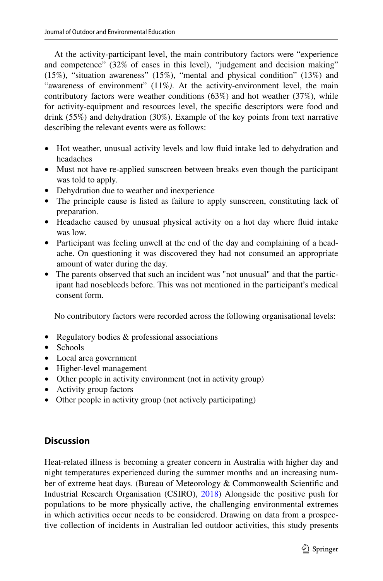At the activity-participant level, the main contributory factors were "experience and competence" (32% of cases in this level), *"*judgement and decision making" (15%), "situation awareness" (15%), "mental and physical condition" (13%) and "awareness of environment" (11%*)*. At the activity-environment level, the main contributory factors were weather conditions (63%) and hot weather (37%), while for activity-equipment and resources level, the specifc descriptors were food and drink (55%) and dehydration (30%). Example of the key points from text narrative describing the relevant events were as follows:

- Hot weather, unusual activity levels and low fuid intake led to dehydration and headaches
- Must not have re-applied sunscreen between breaks even though the participant was told to apply.
- Dehydration due to weather and inexperience
- The principle cause is listed as failure to apply sunscreen, constituting lack of preparation.
- Headache caused by unusual physical activity on a hot day where fluid intake was low.
- Participant was feeling unwell at the end of the day and complaining of a headache. On questioning it was discovered they had not consumed an appropriate amount of water during the day.
- The parents observed that such an incident was "not unusual" and that the participant had nosebleeds before. This was not mentioned in the participant's medical consent form.

No contributory factors were recorded across the following organisational levels:

- Regulatory bodies & professional associations
- Schools
- Local area government
- Higher-level management
- Other people in activity environment (not in activity group)
- Activity group factors
- Other people in activity group (not actively participating)

# **Discussion**

Heat-related illness is becoming a greater concern in Australia with higher day and night temperatures experienced during the summer months and an increasing number of extreme heat days. (Bureau of Meteorology & Commonwealth Scientifc and Industrial Research Organisation (CSIRO), [2018\)](#page-12-5) Alongside the positive push for populations to be more physically active, the challenging environmental extremes in which activities occur needs to be considered. Drawing on data from a prospective collection of incidents in Australian led outdoor activities, this study presents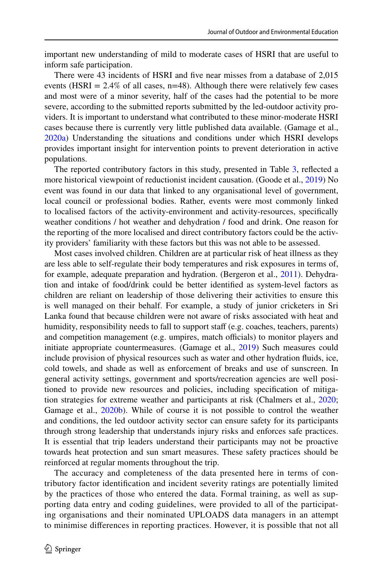important new understanding of mild to moderate cases of HSRI that are useful to inform safe participation.

There were 43 incidents of HSRI and fve near misses from a database of 2,015 events (HSRI  $= 2.4\%$  of all cases,  $n=48$ ). Although there were relatively few cases and most were of a minor severity, half of the cases had the potential to be more severe, according to the submitted reports submitted by the led-outdoor activity providers. It is important to understand what contributed to these minor-moderate HSRI cases because there is currently very little published data available. (Gamage et al., [2020a](#page-13-3)) Understanding the situations and conditions under which HSRI develops provides important insight for intervention points to prevent deterioration in active populations.

The reported contributory factors in this study, presented in Table [3](#page-8-0), refected a more historical viewpoint of reductionist incident causation. (Goode et al., [2019](#page-13-13)) No event was found in our data that linked to any organisational level of government, local council or professional bodies. Rather, events were most commonly linked to localised factors of the activity-environment and activity-resources, specifcally weather conditions / hot weather and dehydration / food and drink. One reason for the reporting of the more localised and direct contributory factors could be the activity providers' familiarity with these factors but this was not able to be assessed.

Most cases involved children. Children are at particular risk of heat illness as they are less able to self-regulate their body temperatures and risk exposures in terms of, for example, adequate preparation and hydration. (Bergeron et al., [2011\)](#page-12-1). Dehydration and intake of food/drink could be better identifed as system-level factors as children are reliant on leadership of those delivering their activities to ensure this is well managed on their behalf. For example, a study of junior cricketers in Sri Lanka found that because children were not aware of risks associated with heat and humidity, responsibility needs to fall to support staff (e.g. coaches, teachers, parents) and competition management (e.g. umpires, match officials) to monitor players and initiate appropriate countermeasures. (Gamage et al., [2019\)](#page-13-14) Such measures could include provision of physical resources such as water and other hydration fuids, ice, cold towels, and shade as well as enforcement of breaks and use of sunscreen. In general activity settings, government and sports/recreation agencies are well positioned to provide new resources and policies, including specifcation of mitigation strategies for extreme weather and participants at risk (Chalmers et al., [2020;](#page-12-6) Gamage et al., [2020b\)](#page-13-6). While of course it is not possible to control the weather and conditions, the led outdoor activity sector can ensure safety for its participants through strong leadership that understands injury risks and enforces safe practices. It is essential that trip leaders understand their participants may not be proactive towards heat protection and sun smart measures. These safety practices should be reinforced at regular moments throughout the trip.

The accuracy and completeness of the data presented here in terms of contributory factor identifcation and incident severity ratings are potentially limited by the practices of those who entered the data. Formal training, as well as supporting data entry and coding guidelines, were provided to all of the participating organisations and their nominated UPLOADS data managers in an attempt to minimise diferences in reporting practices. However, it is possible that not all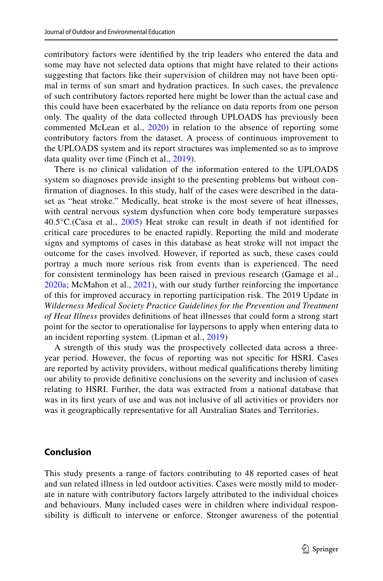contributory factors were identifed by the trip leaders who entered the data and some may have not selected data options that might have related to their actions suggesting that factors like their supervision of children may not have been optimal in terms of sun smart and hydration practices. In such cases, the prevalence of such contributory factors reported here might be lower than the actual case and this could have been exacerbated by the reliance on data reports from one person only. The quality of the data collected through UPLOADS has previously been commented McLean et al., [2020](#page-13-15)) in relation to the absence of reporting some contributory factors from the dataset. A process of continuous improvement to the UPLOADS system and its report structures was implemented so as to improve data quality over time (Finch et al., [2019](#page-13-11)).

There is no clinical validation of the information entered to the UPLOADS system so diagnoses provide insight to the presenting problems but without confrmation of diagnoses. In this study, half of the cases were described in the dataset as "heat stroke." Medically, heat stroke is the most severe of heat illnesses, with central nervous system dysfunction when core body temperature surpasses 40.5°C.(Casa et al., [2005\)](#page-12-7) Heat stroke can result in death if not identifed for critical care procedures to be enacted rapidly. Reporting the mild and moderate signs and symptoms of cases in this database as heat stroke will not impact the outcome for the cases involved. However, if reported as such, these cases could portray a much more serious risk from events than is experienced. The need for consistent terminology has been raised in previous research (Gamage et al., [2020a](#page-13-3); McMahon et al., [2021](#page-13-15)), with our study further reinforcing the importance of this for improved accuracy in reporting participation risk. The 2019 Update in *Wilderness Medical Society Practice Guidelines for the Prevention and Treatment of Heat Illness* provides defnitions of heat illnesses that could form a strong start point for the sector to operationalise for laypersons to apply when entering data to an incident reporting system. (Lipman et al., [2019\)](#page-13-1)

A strength of this study was the prospectively collected data across a threeyear period. However, the focus of reporting was not specifc for HSRI. Cases are reported by activity providers, without medical qualifcations thereby limiting our ability to provide defnitive conclusions on the severity and inclusion of cases relating to HSRI. Further, the data was extracted from a national database that was in its frst years of use and was not inclusive of all activities or providers nor was it geographically representative for all Australian States and Territories.

## **Conclusion**

This study presents a range of factors contributing to 48 reported cases of heat and sun related illness in led outdoor activities. Cases were mostly mild to moderate in nature with contributory factors largely attributed to the individual choices and behaviours. Many included cases were in children where individual responsibility is difficult to intervene or enforce. Stronger awareness of the potential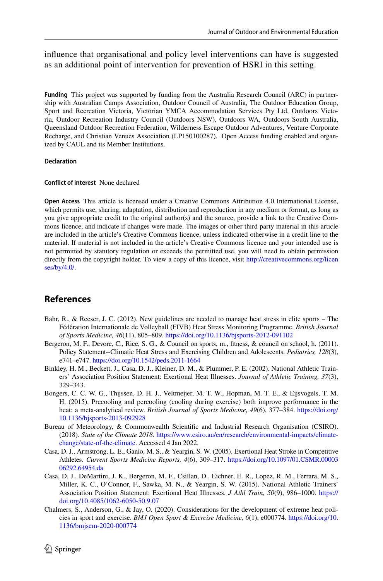## infuence that organisational and policy level interventions can have is suggested as an additional point of intervention for prevention of HSRI in this setting.

**Funding** This project was supported by funding from the Australia Research Council (ARC) in partnership with Australian Camps Association, Outdoor Council of Australia, The Outdoor Education Group, Sport and Recreation Victoria, Victorian YMCA Accommodation Services Pty Ltd, Outdoors Victoria, Outdoor Recreation Industry Council (Outdoors NSW), Outdoors WA, Outdoors South Australia, Queensland Outdoor Recreation Federation, Wilderness Escape Outdoor Adventures, Venture Corporate Recharge, and Christian Venues Association (LP150100287). Open Access funding enabled and organized by CAUL and its Member Institutions.

#### **Declaration**

#### **Confict of interest** None declared

**Open Access** This article is licensed under a Creative Commons Attribution 4.0 International License, which permits use, sharing, adaptation, distribution and reproduction in any medium or format, as long as you give appropriate credit to the original author(s) and the source, provide a link to the Creative Commons licence, and indicate if changes were made. The images or other third party material in this article are included in the article's Creative Commons licence, unless indicated otherwise in a credit line to the material. If material is not included in the article's Creative Commons licence and your intended use is not permitted by statutory regulation or exceeds the permitted use, you will need to obtain permission directly from the copyright holder. To view a copy of this licence, visit [http://creativecommons.org/licen](http://creativecommons.org/licenses/by/4.0/) [ses/by/4.0/](http://creativecommons.org/licenses/by/4.0/).

## **References**

- <span id="page-12-3"></span>Bahr, R., & Reeser, J. C. (2012). New guidelines are needed to manage heat stress in elite sports – The Fédération Internationale de Volleyball (FIVB) Heat Stress Monitoring Programme. *British Journal of Sports Medicine, 46*(11), 805–809. <https://doi.org/10.1136/bjsports-2012-091102>
- <span id="page-12-1"></span>Bergeron, M. F., Devore, C., Rice, S. G., & Council on sports, m., ftness, & council on school, h. (2011). Policy Statement--Climatic Heat Stress and Exercising Children and Adolescents. *Pediatrics, 128*(3), e741–e747.<https://doi.org/10.1542/peds.2011-1664>
- <span id="page-12-2"></span>Binkley, H. M., Beckett, J., Casa, D. J., Kleiner, D. M., & Plummer, P. E. (2002). National Athletic Trainers' Association Position Statement: Exertional Heat Illnesses. *Journal of Athletic Training, 37*(3), 329–343.
- <span id="page-12-4"></span>Bongers, C. C. W. G., Thijssen, D. H. J., Veltmeijer, M. T. W., Hopman, M. T. E., & Eijsvogels, T. M. H. (2015). Precooling and percooling (cooling during exercise) both improve performance in the heat: a meta-analytical review. *British Journal of Sports Medicine, 49*(6), 377–384. [https://doi.org/](https://doi.org/10.1136/bjsports-2013-092928) [10.1136/bjsports-2013-092928](https://doi.org/10.1136/bjsports-2013-092928)
- <span id="page-12-5"></span>Bureau of Meteorology, & Commonwealth Scientifc and Industrial Research Organisation (CSIRO). (2018). *State of the Climate 2018*. [https://www.csiro.au/en/research/environmental-impacts/climate](https://www.csiro.au/en/research/environmental-impacts/climate-change/state-of-the-climate)[change/state-of-the-climate](https://www.csiro.au/en/research/environmental-impacts/climate-change/state-of-the-climate). Accessed 4 Jan 2022.
- <span id="page-12-7"></span>Casa, D. J., Armstrong, L. E., Ganio, M. S., & Yeargin, S. W. (2005). Exertional Heat Stroke in Competitive Athletes. *Current Sports Medicine Reports, 4*(6), 309–317. [https://doi.org/10.1097/01.CSMR.00003](https://doi.org/10.1097/01.CSMR.0000306292.64954.da) [06292.64954.da](https://doi.org/10.1097/01.CSMR.0000306292.64954.da)
- <span id="page-12-0"></span>Casa, D. J., DeMartini, J. K., Bergeron, M. F., Csillan, D., Eichner, E. R., Lopez, R. M., Ferrara, M. S., Miller, K. C., O'Connor, F., Sawka, M. N., & Yeargin, S. W. (2015). National Athletic Trainers' Association Position Statement: Exertional Heat Illnesses. *J Athl Train, 50*(9), 986–1000. [https://](https://doi.org/10.4085/1062-6050-50.9.07) [doi.org/10.4085/1062-6050-50.9.07](https://doi.org/10.4085/1062-6050-50.9.07)
- <span id="page-12-6"></span>Chalmers, S., Anderson, G., & Jay, O. (2020). Considerations for the development of extreme heat policies in sport and exercise. *BMJ Open Sport & Exercise Medicine, 6*(1), e000774. [https://doi.org/10.](https://doi.org/10.1136/bmjsem-2020-000774) [1136/bmjsem-2020-000774](https://doi.org/10.1136/bmjsem-2020-000774)